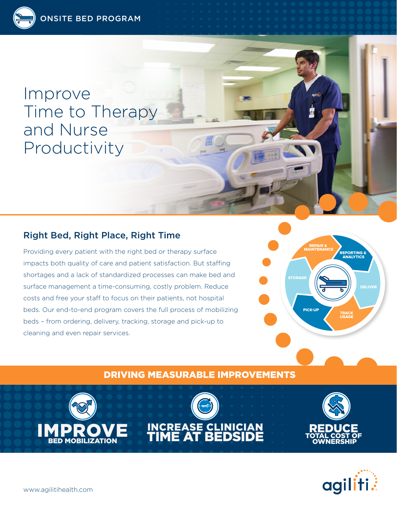Improve Time to Therapy and Nurse Productivity

# Right Bed, Right Place, Right Time

Providing every patient with the right bed or therapy surface impacts both quality of care and patient satisfaction. But staffing shortages and a lack of standardized processes can make bed and surface management a time-consuming, costly problem. Reduce costs and free your staff to focus on their patients, not hospital beds. Our end-to-end program covers the full process of mobilizing beds – from ordering, delivery, tracking, storage and pick-up to cleaning and even repair services.



# DRIVING MEASURABLE IMPROVEMENTS







IMPROVE BED MOBILIZATION